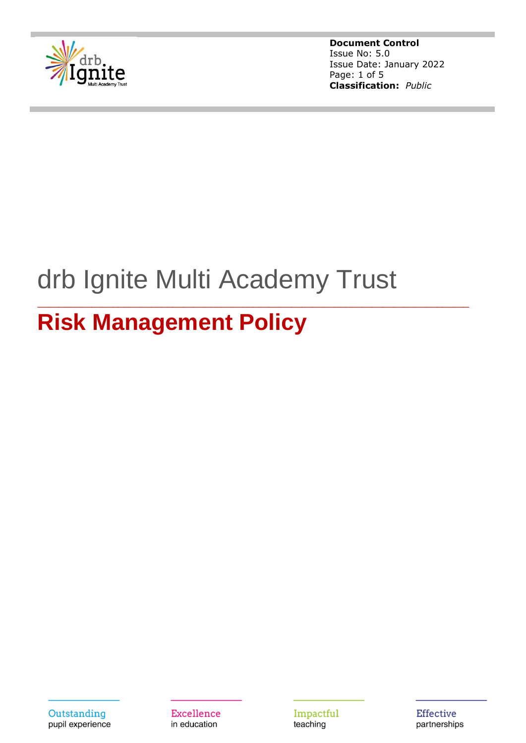

**Document Control** Issue No: 5.0 Issue Date: January 2022 Page: 1 of 5 **Classification:** *Public*

# drb Ignite Multi Academy Trust

\_\_\_\_\_\_\_\_\_\_\_\_\_\_\_\_\_\_\_\_\_\_\_\_\_\_\_\_\_\_\_\_\_\_\_\_\_\_\_\_\_\_\_\_\_\_\_\_\_\_\_\_\_\_\_\_\_\_\_\_\_\_\_\_\_\_\_\_\_\_\_\_\_\_\_\_\_\_\_\_

## **Risk Management Policy**



Excellence in education

Impactful teaching

**Effective** partnerships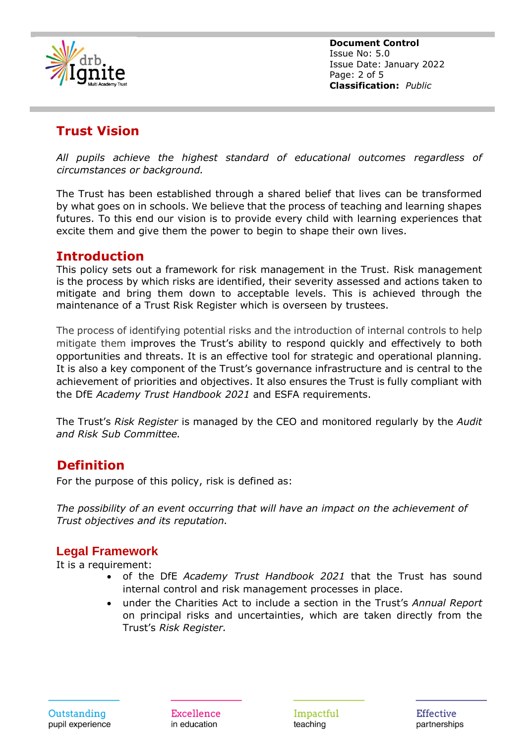

**Document Control** Issue No: 5.0 Issue Date: January 2022 Page: 2 of 5 **Classification:** *Public*

## **Trust Vision**

*All pupils achieve the highest standard of educational outcomes regardless of circumstances or background.*

The Trust has been established through a shared belief that lives can be transformed by what goes on in schools. We believe that the process of teaching and learning shapes futures. To this end our vision is to provide every child with learning experiences that excite them and give them the power to begin to shape their own lives.

#### **Introduction**

This policy sets out a framework for risk management in the Trust. Risk management is the process by which risks are identified, their severity assessed and actions taken to mitigate and bring them down to acceptable levels. This is achieved through the maintenance of a Trust Risk Register which is overseen by trustees.

The process of identifying potential risks and the introduction of internal controls to help mitigate them improves the Trust's ability to respond quickly and effectively to both opportunities and threats. It is an effective tool for strategic and operational planning. It is also a key component of the Trust's governance infrastructure and is central to the achievement of priorities and objectives. It also ensures the Trust is fully compliant with the DfE *Academy Trust Handbook 2021* and ESFA requirements.

The Trust's *Risk Register* is managed by the CEO and monitored regularly by the *Audit and Risk Sub Committee.*

#### **Definition**

For the purpose of this policy, risk is defined as:

*The possibility of an event occurring that will have an impact on the achievement of Trust objectives and its reputation.*

#### **Legal Framework**

It is a requirement:

- of the DfE *Academy Trust Handbook 2021* that the Trust has sound internal control and risk management processes in place.
- under the Charities Act to include a section in the Trust's *Annual Report* on principal risks and uncertainties, which are taken directly from the Trust's *Risk Register.*

Excellence in education

Impactful teaching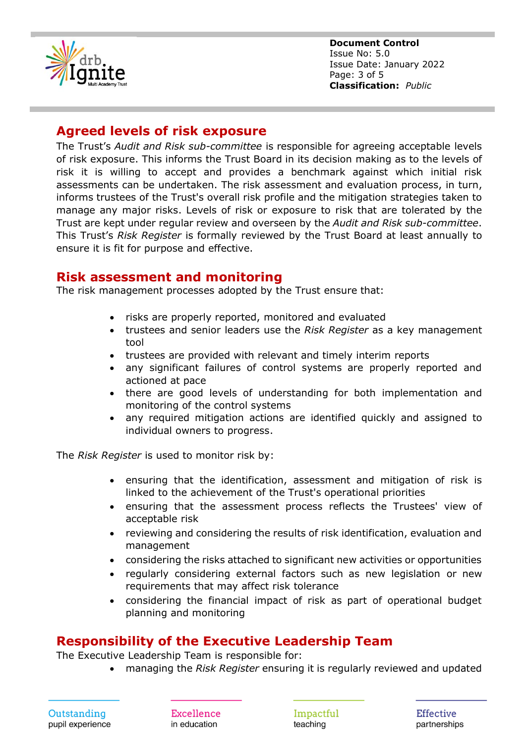

**Document Control** Issue No: 5.0 Issue Date: January 2022 Page: 3 of 5 **Classification:** *Public*

#### **Agreed levels of risk exposure**

The Trust's *Audit and Risk sub-committee* is responsible for agreeing acceptable levels of risk exposure. This informs the Trust Board in its decision making as to the levels of risk it is willing to accept and provides a benchmark against which initial risk assessments can be undertaken. The risk assessment and evaluation process, in turn, informs trustees of the Trust's overall risk profile and the mitigation strategies taken to manage any major risks. Levels of risk or exposure to risk that are tolerated by the Trust are kept under regular review and overseen by the *Audit and Risk sub-committee*. This Trust's *Risk Register* is formally reviewed by the Trust Board at least annually to ensure it is fit for purpose and effective.

#### **Risk assessment and monitoring**

The risk management processes adopted by the Trust ensure that:

- risks are properly reported, monitored and evaluated
- trustees and senior leaders use the *Risk Register* as a key management tool
- trustees are provided with relevant and timely interim reports
- any significant failures of control systems are properly reported and actioned at pace
- there are good levels of understanding for both implementation and monitoring of the control systems
- any required mitigation actions are identified quickly and assigned to individual owners to progress.

The *Risk Register* is used to monitor risk by:

- ensuring that the identification, assessment and mitigation of risk is linked to the achievement of the Trust's operational priorities
- ensuring that the assessment process reflects the Trustees' view of acceptable risk
- reviewing and considering the results of risk identification, evaluation and management
- considering the risks attached to significant new activities or opportunities
- regularly considering external factors such as new legislation or new requirements that may affect risk tolerance
- considering the financial impact of risk as part of operational budget planning and monitoring

#### **Responsibility of the Executive Leadership Team**

The Executive Leadership Team is responsible for:

• managing the *Risk Register* ensuring it is regularly reviewed and updated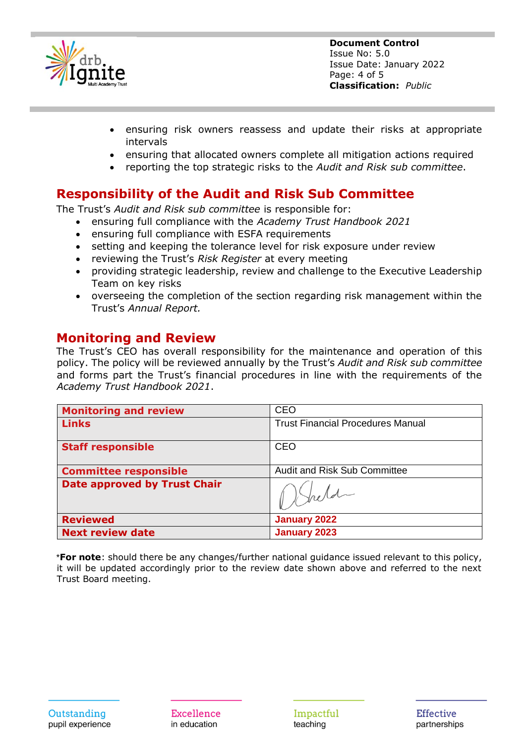

- ensuring risk owners reassess and update their risks at appropriate intervals
- ensuring that allocated owners complete all mitigation actions required
- reporting the top strategic risks to the *Audit and Risk sub committee*.

### **Responsibility of the Audit and Risk Sub Committee**

The Trust's *Audit and Risk sub committee* is responsible for:

- ensuring full compliance with the *Academy Trust Handbook 2021*
- ensuring full compliance with ESFA requirements
- setting and keeping the tolerance level for risk exposure under review
- reviewing the Trust's *Risk Register* at every meeting
- providing strategic leadership, review and challenge to the Executive Leadership Team on key risks
- overseeing the completion of the section regarding risk management within the Trust's *Annual Report.*

#### **Monitoring and Review**

The Trust's CEO has overall responsibility for the maintenance and operation of this policy. The policy will be reviewed annually by the Trust's *Audit and Risk sub committee* and forms part the Trust's financial procedures in line with the requirements of the *Academy Trust Handbook 2021*.

| <b>Monitoring and review</b>        | <b>CEO</b>                               |
|-------------------------------------|------------------------------------------|
| <b>Links</b>                        | <b>Trust Financial Procedures Manual</b> |
| <b>Staff responsible</b>            | <b>CEO</b>                               |
| <b>Committee responsible</b>        | <b>Audit and Risk Sub Committee</b>      |
| <b>Date approved by Trust Chair</b> |                                          |
| <b>Reviewed</b>                     | <b>January 2022</b>                      |
| <b>Next review date</b>             | <b>January 2023</b>                      |

\***For note**: should there be any changes/further national guidance issued relevant to this policy, it will be updated accordingly prior to the review date shown above and referred to the next Trust Board meeting.

Outstanding pupil experience

Excellence in education

Impactful teaching